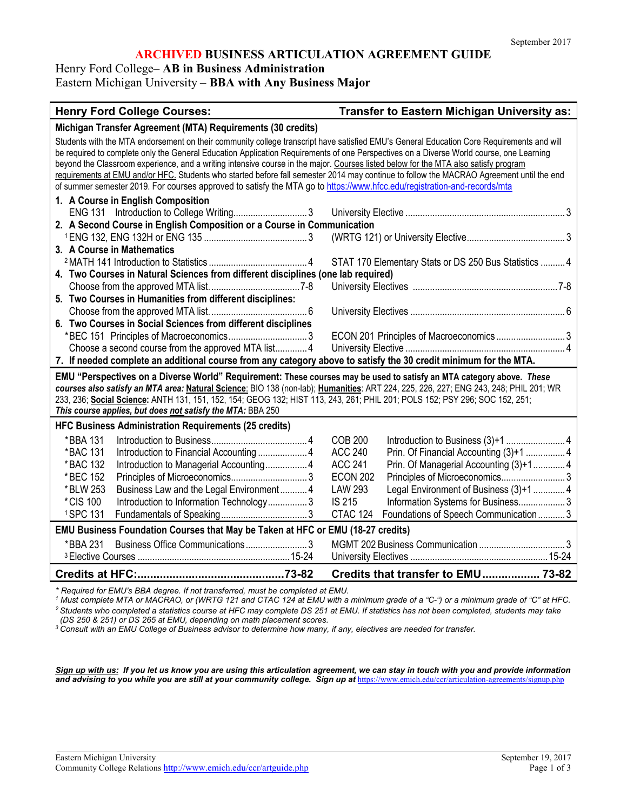## **ARCHIVED BUSINESS ARTICULATION AGREEMENT GUIDE**

Henry Ford College– **AB in Business Administration**

Eastern Michigan University – **BBA with Any Business Major**

# **Henry Ford College Courses: Transfer to Eastern Michigan University as:**

|                                                                                                                                          | Students with the MTA endorsement on their community college transcript have satisfied EMU's General Education Core Requirements and will |  |
|------------------------------------------------------------------------------------------------------------------------------------------|-------------------------------------------------------------------------------------------------------------------------------------------|--|
| be required to complete only the General Education Application Requirements of one Perspectives on a Diverse World course, one Learning  |                                                                                                                                           |  |
| beyond the Classroom experience, and a writing intensive course in the major. Courses listed below for the MTA also satisfy program      |                                                                                                                                           |  |
| requirements at EMU and/or HFC. Students who started before fall semester 2014 may continue to follow the MACRAO Agreement until the end |                                                                                                                                           |  |
| of summer semester 2019. For courses approved to satisfy the MTA go to https://www.hfcc.edu/registration-and-records/mta                 |                                                                                                                                           |  |
| 1. A Course in English Composition                                                                                                       |                                                                                                                                           |  |
|                                                                                                                                          |                                                                                                                                           |  |
| 2. A Second Course in English Composition or a Course in Communication                                                                   |                                                                                                                                           |  |
| 3. A Course in Mathematics                                                                                                               |                                                                                                                                           |  |
|                                                                                                                                          | STAT 170 Elementary Stats or DS 250 Bus Statistics  4                                                                                     |  |
| 4. Two Courses in Natural Sciences from different disciplines (one lab required)                                                         |                                                                                                                                           |  |
|                                                                                                                                          |                                                                                                                                           |  |
| 5. Two Courses in Humanities from different disciplines:                                                                                 |                                                                                                                                           |  |
|                                                                                                                                          |                                                                                                                                           |  |
| 6. Two Courses in Social Sciences from different disciplines                                                                             |                                                                                                                                           |  |
|                                                                                                                                          | ECON 201 Principles of Macroeconomics  3                                                                                                  |  |
| Choose a second course from the approved MTA list 4                                                                                      |                                                                                                                                           |  |
| 7. If needed complete an additional course from any category above to satisfy the 30 credit minimum for the MTA.                         |                                                                                                                                           |  |
| EMU "Perspectives on a Diverse World" Requirement: These courses may be used to satisfy an MTA category above. These                     |                                                                                                                                           |  |
|                                                                                                                                          |                                                                                                                                           |  |
| courses also satisfy an MTA area: Natural Science: BIO 138 (non-lab); Humanities: ART 224, 225, 226, 227; ENG 243, 248; PHIL 201; WR     |                                                                                                                                           |  |
| 233, 236; Social Science: ANTH 131, 151, 152, 154; GEOG 132; HIST 113, 243, 261; PHIL 201; POLS 152; PSY 296; SOC 152, 251;              |                                                                                                                                           |  |
| This course applies, but does not satisfy the MTA: BBA 250                                                                               |                                                                                                                                           |  |
| <b>HFC Business Administration Requirements (25 credits)</b>                                                                             |                                                                                                                                           |  |
| *BBA 131                                                                                                                                 | <b>COB 200</b>                                                                                                                            |  |
| *BAC 131                                                                                                                                 | <b>ACC 240</b><br>Prin. Of Financial Accounting (3)+1  4                                                                                  |  |
| *BAC 132<br>Introduction to Managerial Accounting 4                                                                                      | <b>ACC 241</b><br>Prin. Of Managerial Accounting (3)+14                                                                                   |  |
| *BEC 152                                                                                                                                 | <b>ECON 202</b>                                                                                                                           |  |
| *BLW 253<br>Business Law and the Legal Environment 4                                                                                     | <b>LAW 293</b><br>Legal Environment of Business (3)+1  4                                                                                  |  |
| *CIS 100<br>Introduction to Information Technology 3                                                                                     | <b>IS 215</b><br>Information Systems for Business 3                                                                                       |  |
| 1SPC 131                                                                                                                                 | CTAC 124 Foundations of Speech Communication  3                                                                                           |  |
| EMU Business Foundation Courses that May be Taken at HFC or EMU (18-27 credits)                                                          |                                                                                                                                           |  |
| Business Office Communications3<br>*BBA 231                                                                                              |                                                                                                                                           |  |
|                                                                                                                                          |                                                                                                                                           |  |

*\* Required for EMU's BBA degree. If not transferred, must be completed at EMU.*

*<sup>1</sup> Must complete MTA or MACRAO, or (WRTG 121 and CTAC 124 at EMU with a minimum grade of a "C-") or a minimum grade of "C" at HFC. 2 Students who completed a statistics course at HFC may complete DS 251 at EMU. If statistics has not been completed, students may take (DS 250 & 251) or DS 265 at EMU, depending on math placement scores.*

*<sup>3</sup> Consult with an EMU College of Business advisor to determine how many, if any, electives are needed for transfer.*

*Sign up with us: If you let us know you are using this articulation agreement, we can stay in touch with you and provide information*  and advising to you while you are still at your community college. Sign up at <https://www.emich.edu/ccr/articulation-agreements/signup.php>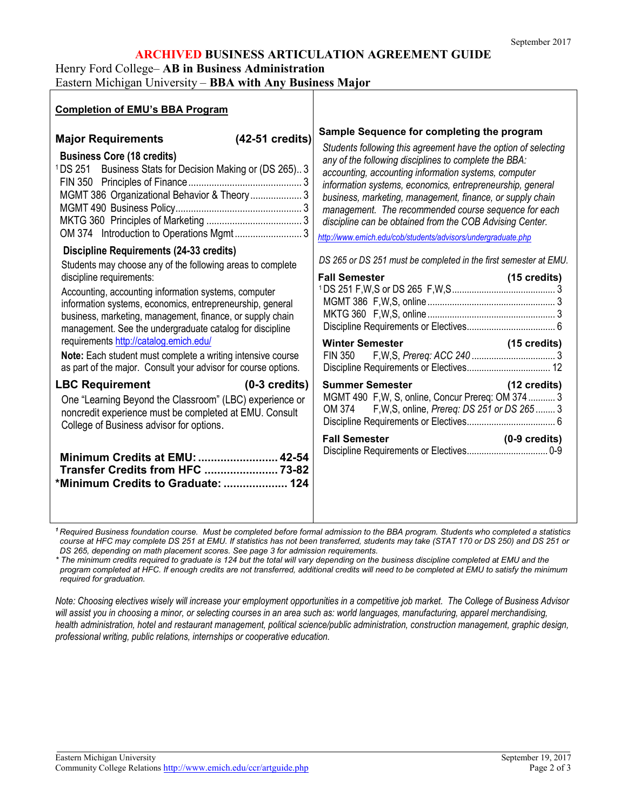## **ARCHIVED BUSINESS ARTICULATION AGREEMENT GUIDE**

Henry Ford College– **AB in Business Administration**

Eastern Michigan University – **BBA with Any Business Major**

| <b>Completion of EMU's BBA Program</b>                                                                                                                                                                                                                                                                                                                                                                                                                                                                                                                                                                                                                                                                                                                                                  |                                                                                                                                                                                                                                                                                                                                                                                                                                                                                                                                                                                                                                                                                                                                                                                                                                                                                                                                                                         |
|-----------------------------------------------------------------------------------------------------------------------------------------------------------------------------------------------------------------------------------------------------------------------------------------------------------------------------------------------------------------------------------------------------------------------------------------------------------------------------------------------------------------------------------------------------------------------------------------------------------------------------------------------------------------------------------------------------------------------------------------------------------------------------------------|-------------------------------------------------------------------------------------------------------------------------------------------------------------------------------------------------------------------------------------------------------------------------------------------------------------------------------------------------------------------------------------------------------------------------------------------------------------------------------------------------------------------------------------------------------------------------------------------------------------------------------------------------------------------------------------------------------------------------------------------------------------------------------------------------------------------------------------------------------------------------------------------------------------------------------------------------------------------------|
| $(42-51 \text{ credits})$<br><b>Major Requirements</b><br><b>Business Core (18 credits)</b><br><sup>1</sup> DS 251 Business Stats for Decision Making or (DS 265)3<br>MGMT 386 Organizational Behavior & Theory  3<br><b>Discipline Requirements (24-33 credits)</b><br>Students may choose any of the following areas to complete<br>discipline requirements:<br>Accounting, accounting information systems, computer<br>information systems, economics, entrepreneurship, general<br>business, marketing, management, finance, or supply chain<br>management. See the undergraduate catalog for discipline<br>requirements http://catalog.emich.edu/<br>Note: Each student must complete a writing intensive course<br>as part of the major. Consult your advisor for course options. | Sample Sequence for completing the program<br>Students following this agreement have the option of selecting<br>any of the following disciplines to complete the BBA:<br>accounting, accounting information systems, computer<br>information systems, economics, entrepreneurship, general<br>business, marketing, management, finance, or supply chain<br>management. The recommended course sequence for each<br>discipline can be obtained from the COB Advising Center.<br>http://www.emich.edu/cob/students/advisors/undergraduate.php<br>DS 265 or DS 251 must be completed in the first semester at EMU.<br><b>Fall Semester</b><br>$(15 \text{ credits})$<br>Winter Semester<br>Semester<br>Semester<br>Semester<br>Semester<br>Semester<br>Semester<br>Semester<br>Semester<br>Semester<br>Semester<br>Semester<br>Semester<br>Semester<br>Semester<br>Semester<br>Semester<br>Semester<br>Semester<br>Semester<br>Semester<br>Semes<br>$(15 \text{ credits})$ |
| <b>LBC Requirement</b><br>$(0-3 \text{ credits})$<br>One "Learning Beyond the Classroom" (LBC) experience or<br>noncredit experience must be completed at EMU. Consult<br>College of Business advisor for options.<br>Minimum Credits at EMU:  42-54<br>Transfer Credits from HFC  73-82<br>*Minimum Credits to Graduate:  124                                                                                                                                                                                                                                                                                                                                                                                                                                                          | <b>Summer Semester</b> Management of the Summer Semester<br>(12 credits)<br>MGMT 490 F, W, S, online, Concur Prereq: OM 374 3<br>OM 374 F, W, S, online, Prereq: DS 251 or DS 265  3<br>$(0-9 \text{ credits})$<br><b>Fall Semester</b>                                                                                                                                                                                                                                                                                                                                                                                                                                                                                                                                                                                                                                                                                                                                 |

*<sup>1</sup> Required Business foundation course. Must be completed before formal admission to the BBA program. Students who completed a statistics course at HFC may complete DS 251 at EMU. If statistics has not been transferred, students may take (STAT 170 or DS 250) and DS 251 or DS 265, depending on math placement scores. See page 3 for admission requirements.*

*\* The minimum credits required to graduate is 124 but the total will vary depending on the business discipline completed at EMU and the program completed at HFC. If enough credits are not transferred, additional credits will need to be completed at EMU to satisfy the minimum required for graduation.* 

*Note: Choosing electives wisely will increase your employment opportunities in a competitive job market. The College of Business Advisor will assist you in choosing a minor, or selecting courses in an area such as: world languages, manufacturing, apparel merchandising, health administration, hotel and restaurant management, political science/public administration, construction management, graphic design, professional writing, public relations, internships or cooperative education.*